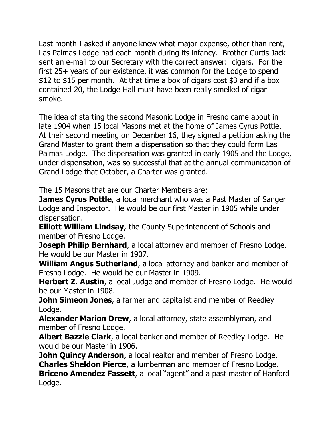Last month I asked if anyone knew what major expense, other than rent, Las Palmas Lodge had each month during its infancy. Brother Curtis Jack sent an e-mail to our Secretary with the correct answer: cigars. For the first 25+ years of our existence, it was common for the Lodge to spend \$12 to \$15 per month. At that time a box of cigars cost \$3 and if a box contained 20, the Lodge Hall must have been really smelled of cigar smoke.

The idea of starting the second Masonic Lodge in Fresno came about in late 1904 when 15 local Masons met at the home of James Cyrus Pottle. At their second meeting on December 16, they signed a petition asking the Grand Master to grant them a dispensation so that they could form Las Palmas Lodge. The dispensation was granted in early 1905 and the Lodge, under dispensation, was so successful that at the annual communication of Grand Lodge that October, a Charter was granted.

The 15 Masons that are our Charter Members are:

**James Cyrus Pottle**, a local merchant who was a Past Master of Sanger Lodge and Inspector. He would be our first Master in 1905 while under dispensation.

**Elliott William Lindsay**, the County Superintendent of Schools and member of Fresno Lodge.

**Joseph Philip Bernhard**, a local attorney and member of Fresno Lodge. He would be our Master in 1907.

**William Angus Sutherland**, a local attorney and banker and member of Fresno Lodge. He would be our Master in 1909.

**Herbert Z. Austin**, a local Judge and member of Fresno Lodge. He would be our Master in 1908.

**John Simeon Jones,** a farmer and capitalist and member of Reedley Lodge.

**Alexander Marion Drew**, a local attorney, state assemblyman, and member of Fresno Lodge.

**Albert Bazzle Clark**, a local banker and member of Reedley Lodge. He would be our Master in 1906.

**John Quincy Anderson**, a local realtor and member of Fresno Lodge. **Charles Sheldon Pierce**, a lumberman and member of Fresno Lodge. **Briceno Amendez Fassett**, a local "agent" and a past master of Hanford Lodge.